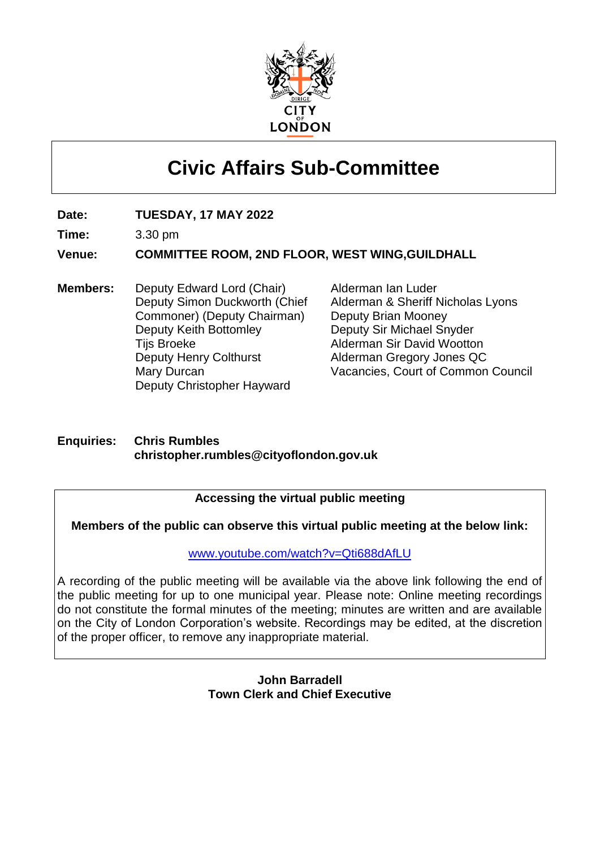

# **Civic Affairs Sub-Committee**

**Date: TUESDAY, 17 MAY 2022**

**Time:** 3.30 pm

**Venue: COMMITTEE ROOM, 2ND FLOOR, WEST WING,GUILDHALL**

**Members:** Deputy Edward Lord (Chair) Deputy Simon Duckworth (Chief Commoner) (Deputy Chairman) Deputy Keith Bottomley Tijs Broeke Deputy Henry Colthurst Mary Durcan Deputy Christopher Hayward

Alderman Ian Luder Alderman & Sheriff Nicholas Lyons Deputy Brian Mooney Deputy Sir Michael Snyder Alderman Sir David Wootton Alderman Gregory Jones QC Vacancies, Court of Common Council

#### **Enquiries: Chris Rumbles christopher.rumbles@cityoflondon.gov.uk**

#### **Accessing the virtual public meeting**

**Members of the public can observe this virtual public meeting at the below link:**

[www.youtube.com/watch?v=Qti688dAfLU](http://www.youtube.com/watch?v=Qti688dAfLU)

A recording of the public meeting will be available via the above link following the end of the public meeting for up to one municipal year. Please note: Online meeting recordings do not constitute the formal minutes of the meeting; minutes are written and are available on the City of London Corporation's website. Recordings may be edited, at the discretion of the proper officer, to remove any inappropriate material.

#### **John Barradell Town Clerk and Chief Executive**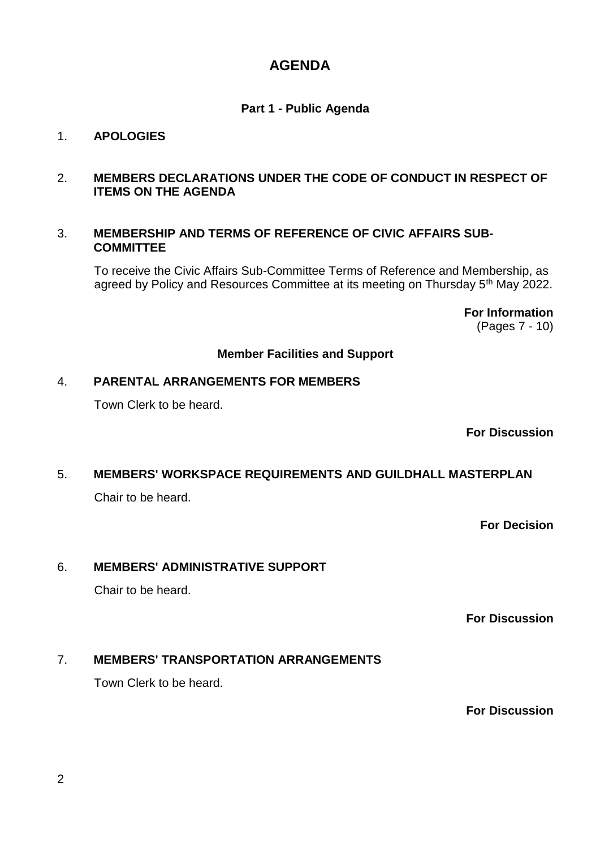## **AGENDA**

#### **Part 1 - Public Agenda**

#### 1. **APOLOGIES**

#### 2. **MEMBERS DECLARATIONS UNDER THE CODE OF CONDUCT IN RESPECT OF ITEMS ON THE AGENDA**

#### 3. **MEMBERSHIP AND TERMS OF REFERENCE OF CIVIC AFFAIRS SUB-COMMITTEE**

To receive the Civic Affairs Sub-Committee Terms of Reference and Membership, as agreed by Policy and Resources Committee at its meeting on Thursday 5<sup>th</sup> May 2022.

> **For Information** (Pages 7 - 10)

#### **Member Facilities and Support**

#### 4. **PARENTAL ARRANGEMENTS FOR MEMBERS**

Town Clerk to be heard.

**For Discussion**

# 5. **MEMBERS' WORKSPACE REQUIREMENTS AND GUILDHALL MASTERPLAN**

Chair to be heard.

**For Decision**

#### 6. **MEMBERS' ADMINISTRATIVE SUPPORT**

Chair to be heard.

**For Discussion**

#### 7. **MEMBERS' TRANSPORTATION ARRANGEMENTS**

Town Clerk to be heard.

**For Discussion**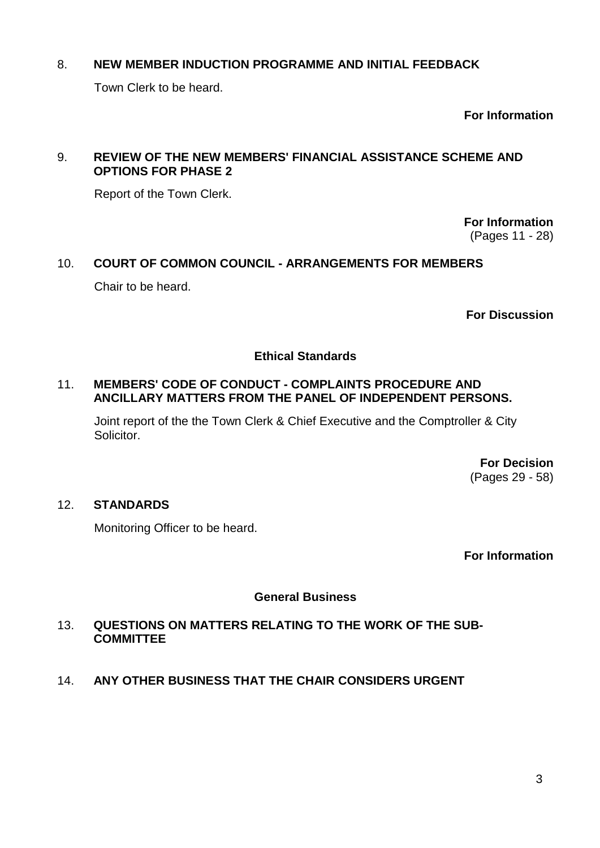#### 8. **NEW MEMBER INDUCTION PROGRAMME AND INITIAL FEEDBACK**

Town Clerk to be heard.

**For Information**

#### 9. **REVIEW OF THE NEW MEMBERS' FINANCIAL ASSISTANCE SCHEME AND OPTIONS FOR PHASE 2**

Report of the Town Clerk.

**For Information** (Pages 11 - 28)

# 10. **COURT OF COMMON COUNCIL - ARRANGEMENTS FOR MEMBERS**

Chair to be heard.

**For Discussion**

#### **Ethical Standards**

#### 11. **MEMBERS' CODE OF CONDUCT - COMPLAINTS PROCEDURE AND ANCILLARY MATTERS FROM THE PANEL OF INDEPENDENT PERSONS.**

Joint report of the the Town Clerk & Chief Executive and the Comptroller & City Solicitor.

> **For Decision** (Pages 29 - 58)

#### 12. **STANDARDS**

Monitoring Officer to be heard.

**For Information**

#### **General Business**

#### 13. **QUESTIONS ON MATTERS RELATING TO THE WORK OF THE SUB-COMMITTEE**

14. **ANY OTHER BUSINESS THAT THE CHAIR CONSIDERS URGENT**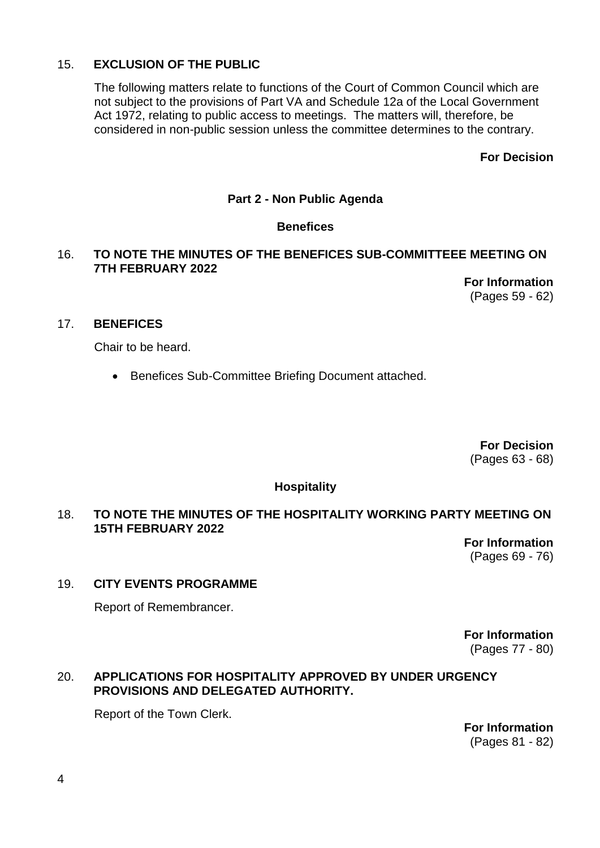#### 15. **EXCLUSION OF THE PUBLIC**

The following matters relate to functions of the Court of Common Council which are not subject to the provisions of Part VA and Schedule 12a of the Local Government Act 1972, relating to public access to meetings. The matters will, therefore, be considered in non-public session unless the committee determines to the contrary.

**For Decision**

#### **Part 2 - Non Public Agenda**

#### **Benefices**

#### 16. **TO NOTE THE MINUTES OF THE BENEFICES SUB-COMMITTEEE MEETING ON 7TH FEBRUARY 2022**

**For Information** (Pages 59 - 62)

#### 17. **BENEFICES**

Chair to be heard.

• Benefices Sub-Committee Briefing Document attached.

**For Decision** (Pages 63 - 68)

#### **Hospitality**

#### 18. **TO NOTE THE MINUTES OF THE HOSPITALITY WORKING PARTY MEETING ON 15TH FEBRUARY 2022**

**For Information** (Pages 69 - 76)

#### 19. **CITY EVENTS PROGRAMME**

Report of Remembrancer.

**For Information** (Pages 77 - 80)

#### 20. **APPLICATIONS FOR HOSPITALITY APPROVED BY UNDER URGENCY PROVISIONS AND DELEGATED AUTHORITY.**

Report of the Town Clerk.

**For Information** (Pages 81 - 82)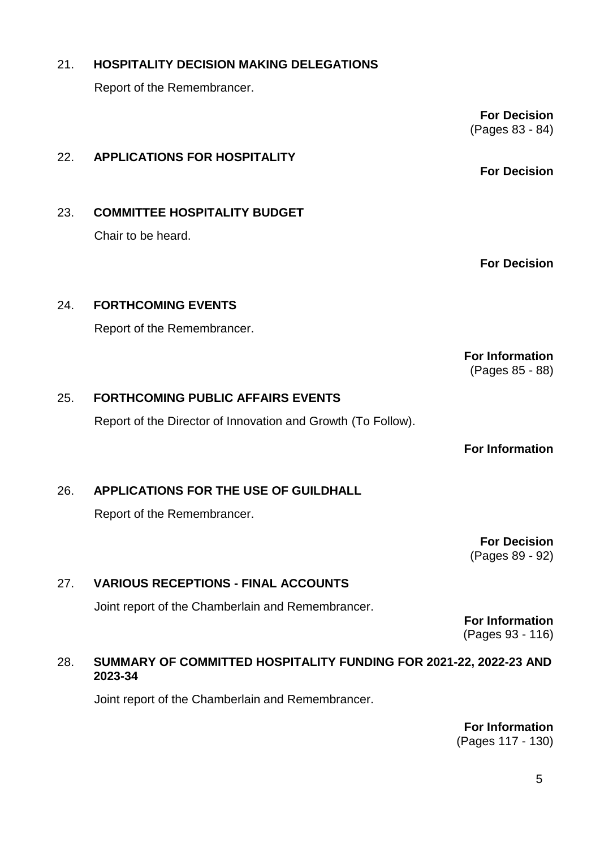**For Information** (Pages 117 - 130)

5

### 21. **HOSPITALITY DECISION MAKING DELEGATIONS**

Report of the Remembrancer.

### 22. **APPLICATIONS FOR HOSPITALITY**

23. **COMMITTEE HOSPITALITY BUDGET** Chair to be heard.

Report of the Remembrancer.

24. **FORTHCOMING EVENTS**

**For Decision**

**For Information** (Pages 85 - 88)

#### 25. **FORTHCOMING PUBLIC AFFAIRS EVENTS**

Report of the Director of Innovation and Growth (To Follow).

**For Information**

# 26. **APPLICATIONS FOR THE USE OF GUILDHALL**

Report of the Remembrancer.

**For Decision** (Pages 89 - 92)

#### 27. **VARIOUS RECEPTIONS - FINAL ACCOUNTS**

Joint report of the Chamberlain and Remembrancer.

**For Information** (Pages 93 - 116)

#### 28. **SUMMARY OF COMMITTED HOSPITALITY FUNDING FOR 2021-22, 2022-23 AND 2023-34**

Joint report of the Chamberlain and Remembrancer.

**For Decision** (Pages 83 - 84)

**For Decision**